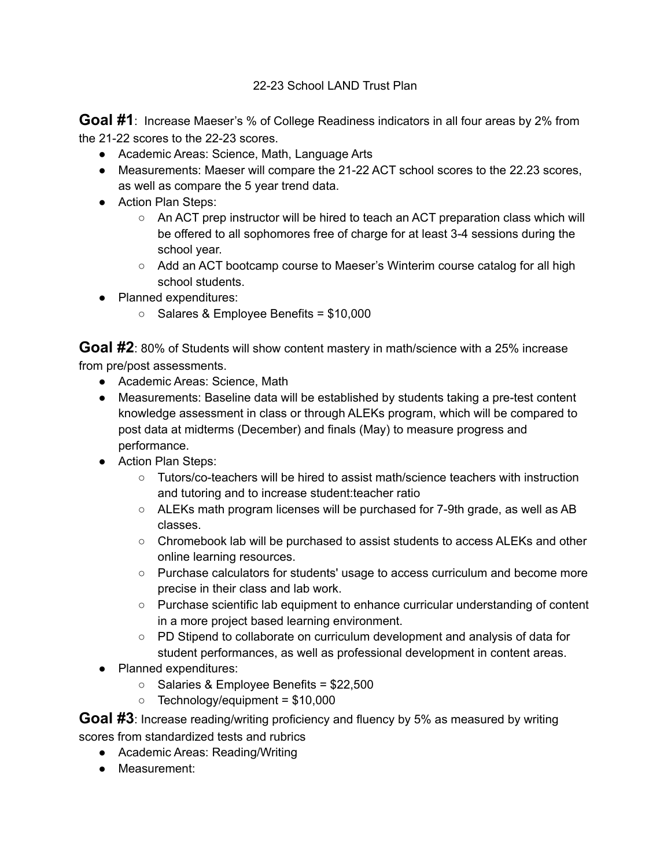## 22-23 School LAND Trust Plan

**Goal #1**: Increase Maeser's % of College Readiness indicators in all four areas by 2% from the 21-22 scores to the 22-23 scores.

- Academic Areas: Science, Math, Language Arts
- Measurements: Maeser will compare the 21-22 ACT school scores to the 22.23 scores, as well as compare the 5 year trend data.
- Action Plan Steps:
	- $\circ$  An ACT prep instructor will be hired to teach an ACT preparation class which will be offered to all sophomores free of charge for at least 3-4 sessions during the school year.
	- Add an ACT bootcamp course to Maeser's Winterim course catalog for all high school students.
- Planned expenditures:
	- Salares & Employee Benefits = \$10,000

**Goal #2**: 80% of Students will show content mastery in math/science with a 25% increase from pre/post assessments.

- Academic Areas: Science, Math
- Measurements: Baseline data will be established by students taking a pre-test content knowledge assessment in class or through ALEKs program, which will be compared to post data at midterms (December) and finals (May) to measure progress and performance.
- Action Plan Steps:
	- Tutors/co-teachers will be hired to assist math/science teachers with instruction and tutoring and to increase student:teacher ratio
	- ALEKs math program licenses will be purchased for 7-9th grade, as well as AB classes.
	- $\circ$  Chromebook lab will be purchased to assist students to access ALEKs and other online learning resources.
	- Purchase calculators for students' usage to access curriculum and become more precise in their class and lab work.
	- Purchase scientific lab equipment to enhance curricular understanding of content in a more project based learning environment.
	- PD Stipend to collaborate on curriculum development and analysis of data for student performances, as well as professional development in content areas.
- Planned expenditures:
	- Salaries & Employee Benefits = \$22,500
	- $\circ$  Technology/equipment = \$10,000

**Goal #3**: Increase reading/writing proficiency and fluency by 5% as measured by writing scores from standardized tests and rubrics

- Academic Areas: Reading/Writing
- Measurement: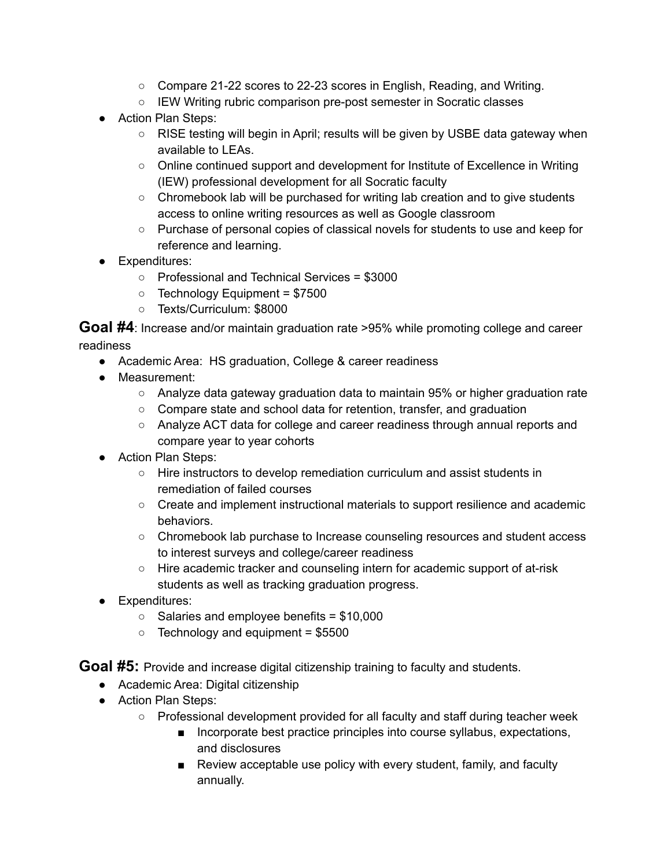- Compare 21-22 scores to 22-23 scores in English, Reading, and Writing.
- IEW Writing rubric comparison pre-post semester in Socratic classes
- Action Plan Steps:
	- $\circ$  RISE testing will begin in April; results will be given by USBE data gateway when available to LEAs.
	- Online continued support and development for Institute of Excellence in Writing (IEW) professional development for all Socratic faculty
	- Chromebook lab will be purchased for writing lab creation and to give students access to online writing resources as well as Google classroom
	- Purchase of personal copies of classical novels for students to use and keep for reference and learning.
- Expenditures:
	- Professional and Technical Services = \$3000
	- $\circ$  Technology Equipment = \$7500
	- Texts/Curriculum: \$8000

**Goal #4**: Increase and/or maintain graduation rate >95% while promoting college and career readiness

- Academic Area: HS graduation, College & career readiness
- Measurement:
	- Analyze data gateway graduation data to maintain 95% or higher graduation rate
	- Compare state and school data for retention, transfer, and graduation
	- Analyze ACT data for college and career readiness through annual reports and compare year to year cohorts
- Action Plan Steps:
	- Hire instructors to develop remediation curriculum and assist students in remediation of failed courses
	- Create and implement instructional materials to support resilience and academic behaviors.
	- Chromebook lab purchase to Increase counseling resources and student access to interest surveys and college/career readiness
	- Hire academic tracker and counseling intern for academic support of at-risk students as well as tracking graduation progress.
- Expenditures:
	- $\circ$  Salaries and employee benefits = \$10,000
	- $\circ$  Technology and equipment = \$5500

**Goal #5:** Provide and increase digital citizenship training to faculty and students.

- Academic Area: Digital citizenship
- Action Plan Steps:
	- Professional development provided for all faculty and staff during teacher week
		- Incorporate best practice principles into course syllabus, expectations, and disclosures
		- Review acceptable use policy with every student, family, and faculty annually.